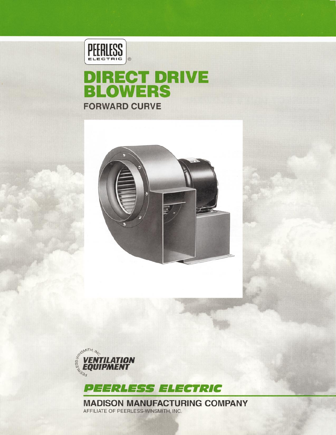

# **DIRECT DRIVE<br>BLOWERS FORWARD CURVE**







**MADISON MANUFACTURING COMPANY** AFFILIATE OF PEERLESS-WINSMITH, INC.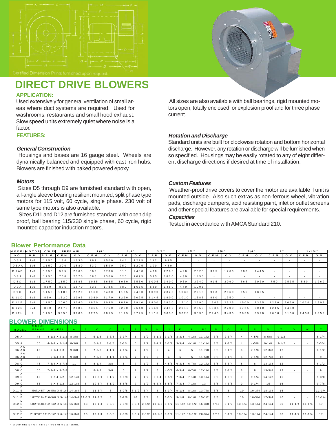

## **DIRECT DRIVE BLOWERS**

### **APPLICATION:**

Used extensively for general ventilation of small areas where duct systems are required. Used for washrooms, restaurants and small hood exhaust. Slow speed units extremely quiet where noise is a factor.

### **FEATURES:**

### **General Construction**

 Housings and bases are 16 gauge steel. Wheels are dynamically balanced and equipped with cast iron hubs. Blowers are finished with baked powered epoxy.

### **Motors**

 Sizes D5 through D9 are furnished standard with open, all-angle sleeve bearing resilient mounted, split phase type motors for 115 volt, 60 cycle, single phase. 230 volt of same type motors is also available.

 Sizes D11 and D12 are furnished standard with open drip proof, ball bearing 115/230 single phase, 60 cycle, rigid mounted capacitor induction motors.

 All sizes are also available with ball bearings, rigid mounted motors open, totally enclosed, or explosion proof and for three phase current.

### **Rotation and Discharge**

Standard units are built for clockwise rotation and bottom horizontal discharge. However, any rotation or discharge will be furnished when so specified. Housings may be easily rotated to any of eight different discharge directions if desired at time of installation.

### **Custom Features**

 Weather-proof drive covers to cover the motor are available if unit is mounted outside. Also such extras as non-ferrous wheel, vibration pads, discharge dampers, acid resisting paint, inlet or outlet screens and other special features are available for special requirements.

### **Capacities**

Tested in accordance with AMCA Standard 210.

### **Blower Performance Data**

| <b>MODELMOTORILOWER</b> |      |         | <b>FREE AIR</b> |       | $1/8$ " |           | 1/4     |      | $3/8$ " |      | 1/2   |                          | $5/8$ " |           | $3/4$ " |       |                          |        |       | $1 - 1/4$ " |
|-------------------------|------|---------|-----------------|-------|---------|-----------|---------|------|---------|------|-------|--------------------------|---------|-----------|---------|-------|--------------------------|--------|-------|-------------|
| NO.                     | H.P. | IR.P.M. | C.F.M           | O. V. | C.F.M.  | O.V.      | C.F.M.  | O. V | C.F.M   | O.V. | C.F.M | O. V.                    | C.F.M   | 0.9.      | C.F.M.  | O. V. | C.F.M                    | O. V.  | C.F.M | O. V.       |
| <b>D 5 A</b>            | 1/6  | 1750    | 184             | 1630  | 169     | 1500      | 144     | 1275 | 112     | 995  |       |                          |         |           |         |       | $\overline{\phantom{a}}$ |        |       |             |
| $D$ 6 A A               | 1/6  | 1150    | 390             | 1880  | 330     | 1590      | 250     | 1205 | 100     | 480  |       | $\overline{\phantom{a}}$ |         |           |         |       | $\overline{\phantom{a}}$ | ۰.     |       |             |
| D 6 A B                 | 1/6  | 1750    | 595             | 2865  | 560     | 2700      | 5 1 5   | 2480 | 470     | 2265 | 420   | 2025                     | 365     | 1760      | 300     | 1445  | $\sim$                   | $\sim$ |       |             |
| <b>D 8 A</b>            | 1/6  | 1150    | 760             | 2570  | 680     | 2300      | 620     | 2095 | 535     | 1810 | 430   | 1455                     |         |           |         |       | $\overline{\phantom{a}}$ |        |       |             |
| <b>D8C</b>              | 1/3  | 1750    | 1150            | 3885  | 1085    | 3665      | 1050    | 3550 | 1005    | 3400 | 960   | 3240                     | 9 1 5   | 3090      | 865     | 2920  | 750                      | 2535   | 580   | 1960        |
| <b>D</b> 9 A            | 1/6  | 850     | 875             | 1870  | 835     | 1785      | 780     | 1665 | 680     | 1450 | 470   | 1005                     |         |           |         |       | $\overline{\phantom{a}}$ | $\sim$ |       |             |
| D 9 C                   | 1/3  | 1150    | 1180            | 2520  | 160     | 2480      | 1125    | 2400 | 090     | 2325 | 1035  | 2210                     | 963     | 2060      | 855     | 1825  |                          |        |       |             |
| D 1 1 D                 | 1/2  | 850     | 1520            | 2395  | 1380    | 2170      | 1290    | 2025 | 1145    | 1800 | 1010  | 1585                     | 860     | 1350      |         |       | $\overline{\phantom{a}}$ |        |       |             |
| D 1 1 E                 | 3/4  | 1150    | 2060            | 3240  | 1970    | 3095      | 1870    | 2940 | 1800    | 2830 | 1710  | 2690                     | 1605    | 2525      | 1500    | 2355  | 1290                     | 2030   | 1020  | 1605        |
| D 1 2 E                 | 3/4  | 850     | 2475            | 2885  | 2365    | 2760      | 2260    | 2640 | 2140    | 2495 | 2015  | 2350                     | 1885    | 2200      | 1725    | 2010  | 1245                     | 1450   |       |             |
| D 1 2 H                 |      | 1150    | 3350            | 3900  |         | 3275 3815 | 3 1 9 5 | 3725 | 3 1 1 5 | 3630 | 3025  | 3530                     |         | 2940 3430 | 2850    | 3320  | 2660                     | 3100   | 2450  | 2855        |

### **BLOWER DIMENSIONS**

|                                  |                              | <b>DLUWER DIMENSIONS</b>                     |            |    |              |           |           |                |     |           |          |                         |                                                             |      |           |              |                        |                 |           |              |                     |            |
|----------------------------------|------------------------------|----------------------------------------------|------------|----|--------------|-----------|-----------|----------------|-----|-----------|----------|-------------------------|-------------------------------------------------------------|------|-----------|--------------|------------------------|-----------------|-----------|--------------|---------------------|------------|
| MODEL                            | <b>MOTOR</b><br><b>FRAME</b> | WHEEL                                        |            | B  | $\mathbf{C}$ | D.        | E.        |                | G   | н.        |          |                         | $M^*$                                                       |      | $\Omega$  | $\mathbf{D}$ | R                      | S.              |           | $\mathbf{M}$ | W.                  | X          |
| D <sub>5</sub> A                 | 48                           | $4-1/2 \times 2-1/2$ 8-3/8                   |            |    | $5 - 1/8$    | $3 - 3/8$ | $3 - 3/4$ | 6              | 1/2 |           |          |                         | $3-1/2$ 3-1/8 3-3/4 4-1/8 11-1/2                            | 3/8  | $2 - 3/4$ |              | $4 - 5/8$              | $8 - 5/8$       | $9 - 1/2$ |              | $\sim$              | $5 - 1/4$  |
| D <sub>5</sub> A                 | 56                           | $4-3/4$ X 2-1/4 8-3/8                        |            |    | $5 - 1/8$    | $3 - 3/8$ | $3 - 3/4$ | 6              | 1/2 |           |          |                         | $3-1/2$ 3-1/8 3-3/4 4-1/8 11-1/4                            | 3/8  | $2 - 3/4$ | $\Delta$     | $4 - 5/8$              | $9 - 1/8$       | $9 - 1/2$ |              | $\sim$              | $5 - 3/4$  |
| AA<br>D6 AB                      | 48                           | $6 - 1/4 \times 3$                           | $9 - 3/8$  |    | $7 - 3/8$    | $4 - 1/4$ | $4 - 1/4$ |                | 1/2 |           |          | 6                       | $11 - 7/8$                                                  | 3/8  | $3 - 1/8$ | 6            | $7 - 1/8$              | $12 - 3/8$      | 12        |              | $\sim$              | $8 - 1/2$  |
| A A<br>D6 AB                     | 56                           | $6 - 1/4 \times 3$                           | $9 - 3/8$  |    | $7 - 3/8$    | $4 - 1/4$ | $4 - 1/4$ | $\overline{7}$ | 1/2 | 5         | $\Delta$ | 6                       | $11 - 5/8$                                                  | 3/8  | $3 - 1/8$ | 6            | $7 - 1/8$              | $12 - 7/8$      | 12        |              | $\sim$              | 9          |
| A<br>D8 C                        | 48                           | $7 - 3/4 \times 3 - 7/8$                     | 11         | 8  | $8 - 1/4$    | 3/8       | 5         | $\overline{7}$ | 1/2 | 6         |          |                         | $4-5/8$ 6-3/4 6-7/8 12-1/2                                  | 3/8  | $3 - 3/4$ | 8            | $\mathbf{R}$           | $13 - 1/8$      | 12        |              | $\sim$              | $8 - 1/2$  |
| $\mathsf{A}$<br>D <sub>8</sub> C | 56                           | $7 - 3/4 \times 3 - 7/8$                     | 11         | 8  | $8 - 1/4$    | 3/8       | 5         | $\overline{7}$ | 1/2 | 6         |          |                         | $4-5/8$ 6-3/4 6-7/8 12-1/4 3/8                              |      | $3 - 3/4$ | 8            | $\mathbf{R}$           | $13 - 5/8$      | 12        |              | $\sim$              | 9          |
| $\overline{A}$<br>D9 C           | 48                           | $9 \times 4 - 1/2$                           | $12 - 1/8$ |    | $10 - 3/4$   | $6 - 1/2$ | $5 - 5/8$ |                | 1/2 | $6 - 3/4$ |          |                         | $5-5/8$ 7-3/4 7-1/8 13-1/4                                  | 3/8  | $4 - 3/8$ | 9            | $9 - 1/4$              | $14 - 1/2$      | 16        |              | $\sim$              | $9 - 3/8$  |
| $\mathsf{A}$<br>D9 C             | 56                           | $9 \times 4 - 1/2$                           | $12 - 1/8$ |    | $10 - 3/4$   | $6 - 1/2$ | $5 - 5/8$ |                | 1/2 | $6 - 3/4$ |          | $5-5/8$ $7-3/4$ $7-1/8$ | 13                                                          | 3/8  | $4 - 3/8$ | 9            | $9 - 1/4$              | 15              | 16        |              | $\sim$              | $9 - 7/8$  |
| D<br>D <sub>11</sub> E           | 56/145T                      | $0-5/8$ X 5-1/4 14-3/4                       |            | 9  | $11 - 3/4$   | 8         | $6 - 7/8$ | $7 - 1/2$      | 3/4 | 8         |          |                         | $6-3/4$ 9-1/8 8-1/8 13-7/8                                  | 3/8  | 5         | 10           | $10 - 3/4$             | $18 - 1/4$      | 16        |              | $\sim$              | $11 - 3/4$ |
| D<br>D <sub>11</sub> E           |                              | 182T/184T 0-5/8 X 5-1/4 14-3/4 11-1/2 11-3/4 |            |    |              | R         | $6 - 7/8$ | 10             | 3/4 | 8         |          |                         | $6-3/4$ 9-1/8 8-1/8 15-1/2                                  | 3/8  | 5         | 10           |                        | $10-3/4$ 17-3/4 | 16        |              | $\sim$              | $11 - 1/4$ |
| D<br>D <sub>12</sub> E<br>H      |                              | 182T/184T 2-1/2 X 6-1/2 16-3/8               |            | 13 | $13 - 1/4$   | $9 - 5/8$ | $7 - 3/8$ |                |     |           |          |                         | $9-3/4$ $2-1/2$ $10-1/8$ $8-1/2$ $11-1/2$ $10-1/2$ $16-3/8$ | 9/16 | $6 - 1/2$ |              | $13-1/4$ 13-1/4 24-1/4 |                 | 20        |              | $11 - 1/4$ 11 - 1/4 | 17         |
| D<br>D <sub>12</sub> E<br>H      |                              | 213T/215T 2-1/2 X 6-1/2 16-3/8               |            | 13 | $13 - 1/4$   | $9 - 5/8$ | $7 - 3/8$ |                |     |           |          |                         | $9-3/4$ $2-1/2$ $10-1/8$ $8-1/2$ $11-1/2$ $10-1/2$ $20-3/4$ | 9/16 | $6 - 1/2$ |              | $13-1/4$ 13-1/4 24-1/4 |                 | 20        |              | $11 - 1/4$ 11 - 1/4 | 17         |

\* M D im e n s io n w il l va r y o n typ e o f m o to r u s e d .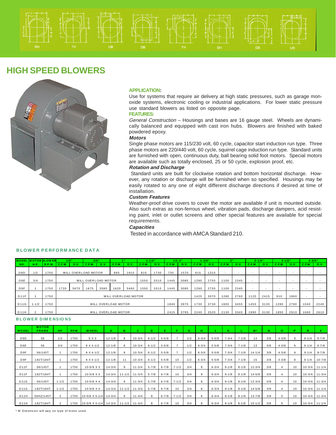### **HIGH SPEED BLOWERS**



### **APPLICATION:**

Use for systems that require air delivery at high static pressures, such as garage monoxide systems, electronic cooling or industrial applications. For lower static pressure use standard blowers as listed on opposite page.

### **FEATURES:**

General Construction – Housings and bases are 16 gauge steel. Wheels are dynamically balanced and equipped with cast iron hubs. Blowers are finished with baked powdered epoxy.

### **Motors**

Single phase motors are 115/230 volt, 60 cycle, capacitor start induction run type. Three phase motors are 220/440 volt, 60 cycle, squirrel cage induction run type. Standard units are furnished with open, continuous duty, ball bearing solid foot motors. Special motors are available such as totally enclosed, 25 or 50 cycle, explosion proof, etc.

### **Rotation and Discharge**

 Standard units are built for clockwise rotation and bottom horizontal discharge. However, any rotation or discharge will be furnished when so specified. Housings may be easily rotated to any one of eight different discharge directions if desired at time of installation.

### **Custom Features**

Weather-proof drive covers to cover the motor are available if unit is mounted outside. Also such extras as non-ferrous wheel, vibration pads, discharge dampers, acid resisting paint, inlet or outlet screens and other special features are available for special requirements.

### **Capacities**

Tested in accordance with AMCA Standard 210.

|                  |             | <b>MODEL MOTOR BLOWER</b> | $3/4$ "<br>$1/2$ "                           |                                     |        |      | $1 - 1/4$           |      | $1/1 - 2$ " |      |        | $1 - 3/4$ " | 2"     |      | $2 - 1/4$ " |        | $2 - 1/2$ |        | $2 - 3/4$ " |      |                          |        |
|------------------|-------------|---------------------------|----------------------------------------------|-------------------------------------|--------|------|---------------------|------|-------------|------|--------|-------------|--------|------|-------------|--------|-----------|--------|-------------|------|--------------------------|--------|
| NO.              | <b>H.P.</b> | R.P.M.                    | C.F.M.                                       | O.V.                                | C.F.M. | O.V. | C.F.M.              | O.V. | C.F.M.      | O.V  | C.F.M. | O.V.        | C.F.M. | O.V. | C.F.M.      | O.V.   | C.F.M.    | O.V.   | C.F.M.      | O.V. | C.F.M.                   | O.V.   |
| D <sub>9</sub> D | 1/2         | 1750                      | 895<br>WILL OVERLOAD MOTOR<br>1910           |                                     |        |      |                     |      | 810         | 1730 | 735    | 1570        | 615    | 1315 |             | $\sim$ | . .       | $\sim$ |             |      | $\overline{\phantom{a}}$ | $\sim$ |
| D <sub>9E</sub>  | 3/4         | 1750                      | WILL OVER LOAD MOTOR<br>3310<br>1550         |                                     |        |      |                     |      |             |      |        | 3085        | 1290   | 2755 | 1100        | 2345   | $\sim$    | $\sim$ | ٠.          |      |                          |        |
| D <sub>9F</sub>  |             | 1750                      | 1720<br>3670<br>1675<br>1620<br>3580<br>3460 |                                     |        |      |                     |      |             | 3310 | 1445   | 3085        | 1290   | 2755 | 1100        | 2345   |           |        | . .         |      |                          |        |
| <b>D11F</b>      |             | 1750                      |                                              |                                     |        |      | WILL OVERLOAD MOTOR |      |             |      |        |             | 1425   | 3070 | 1280        | 2760   | 120       | 2415   | 910         | 1960 |                          |        |
| <b>D11G</b>      | $1 - 1/2$   | 1750                      |                                              | WILL OVERLOAD MOTOR<br>1840<br>3970 |        |      |                     |      |             |      |        |             |        | 3730 | 1600        | 3455   | 1450      | 3130   | 1280        | 2760 | 1040                     | 2240   |
| D11H             |             | 1750                      | WILL OVERLOAD MOTOR<br>2415                  |                                     |        |      |                     |      |             |      |        |             | 2240   | 3520 | 2130        | 3345   | 1990      | 3130   | 1850        | 2910 | 1660                     | 2610   |

### **BLOWER PERFORM ANCE DAT A**

#### **B L OWE R D IM E NSIO NS**

| <b>MODEL</b>     | <b>MOTOR</b><br><b>FRAME</b> | <b>HP</b>      | <b>RPM</b> | <b>WHEEL</b>            |            | в          | c.         | D.        | E.        |           | G.  | н         |           | к         |           | M <sup>*</sup> | N   | Ō.        | D  | R          | x          |
|------------------|------------------------------|----------------|------------|-------------------------|------------|------------|------------|-----------|-----------|-----------|-----|-----------|-----------|-----------|-----------|----------------|-----|-----------|----|------------|------------|
| D <sub>9</sub> D | 56                           | 1/2            | 1750       | 9 X 3                   | $12 - 1/8$ | 8          | $10 - 3/4$ | $6 - 1/2$ | $5 - 5/8$ |           | 1/2 | $6 - 3/4$ | $5 - 5/8$ | $7 - 3/4$ | $7 - 1/8$ | 13             | 3/8 | $4 - 3/8$ | 9  | $9 - 1/4$  | $9 - 7/8$  |
| D <sub>9E</sub>  | 56                           | 3/4            | 1750       | $9 X 4 - 1/2$           | $12 - 1/8$ | 8          | $10 - 3/4$ | $6 - 1/2$ | $5 - 5/8$ |           | 1/2 | $6 - 3/4$ | $5 - 5/8$ | $7 - 3/4$ | $7 - 1/8$ | 13             | 3/8 | $4 - 3/8$ | 9  | $9 - 1/4$  | $9 - 7/8$  |
| D <sub>9F</sub>  | 56/145T                      |                | 1750       | $9 X 4 - 1/2$           | $12 - 1/8$ | 8          | $10 - 3/4$ | $6 - 1/2$ | $5 - 5/8$ |           | 1/2 | $6 - 3/4$ | $5 - 5/8$ | $7 - 3/4$ | $7 - 1/8$ | $14 - 1/4$     | 3/8 | $4 - 3/8$ | 9  | $9 - 1/4$  | $9 - 7/8$  |
| D <sub>9F</sub>  | 182T/184T                    |                | 1750       | $9 X 4 - 1/2$           | $12 - 1/8$ | 11         | $10 - 3/4$ | $6 - 1/2$ | $5 - 5/8$ | 10        | 1/2 | $6 - 3/4$ | $5 - 5/8$ | $7 - 3/4$ | $7 - 1/8$ | 15             | 3/8 | $4 - 3/8$ | 9  | $9 - 1/4$  | $10 - 7/8$ |
| D11F             | 56/145T                      |                | 1750       | $10 - 5/8$ X 3          | $14 - 3/4$ | 9          | $11 - 3/4$ | $5 - 7/8$ | $6 - 7/8$ | $7 - 1/2$ | 3/4 | 8         | $6 - 3/4$ | $9 - 1/8$ | $8 - 1/8$ | $12 - 3/4$     | 3/8 |           | 10 | $10 - 3/4$ | $11 - 1/4$ |
| <b>D11F</b>      | 182T/184T                    |                | 1750       | $10 - 5/8$ X 3          | $14 - 3/4$ | $11 - 1/2$ | $11 - 3/4$ | $5 - 7/8$ | $6 - 7/8$ | 10        | 3/4 | 8         | $6 - 3/4$ | $9 - 1/8$ | $8 - 1/8$ | $14 - 5/8$     | 3/8 |           | 10 | $10 - 3/4$ | $11 - 3/4$ |
| <b>D11G</b>      | 56/145T                      | $1 - 1/2$      | 1750       | $10 - 5/8$ X 4          | $14 - 3/4$ | 9          | $11 - 3/4$ | $5 - 7/8$ | $6 - 7/8$ | $7 - 1/2$ | 3/4 | 8         | $6 - 3/4$ | $9 - 1/8$ | $8 - 1/8$ | $12 - 3/4$     | 3/8 |           | 10 | $10 - 3/4$ | $11 - 3/4$ |
| <b>D11G</b>      | 182T/184T                    | $1 - 1/2$      | 1750       | $10 - 5/8$ X 4          | $14 - 3/4$ | $11 - 1/2$ | $11 - 3/4$ | $5 - 7/8$ | $6 - 7/8$ | 10        | 3/4 | 8         | $6 - 3/4$ | $9 - 1/8$ | $8 - 1/8$ | $14 - 5/8$     | 3/8 |           | 10 | $10 - 3/4$ | $11 - 1/4$ |
| <b>D11H</b>      | 56HZ/145T                    | $\mathfrak{p}$ | 1750       | 10-5/8 X 5-1/4 14-3/4   |            | 9          | $11 - 3/4$ |           | $6 - 7/8$ | $7 - 1/2$ | 3/4 | 8         | $6 - 3/4$ | $9 - 1/8$ | $8 - 1/8$ | $13 - 7/8$     | 3/8 | 5         | 10 | $10 - 3/4$ | $11 - 3/4$ |
| D11H             | 182T/184T                    |                | 1750       | $10-5/8$ X 5-1/4 14-3/4 |            | $11 - 1/2$ | $11 - 3/4$ |           | $6 - 7/8$ | 10        | 3/4 |           | $6 - 3/4$ | $9 - 1/8$ | $8 - 1/8$ | $15 - 1/2$     | 3/8 | 5         | 10 | $10 - 3/4$ | $11 - 1/4$ |

\* M Dimension will vary on type of motor used.